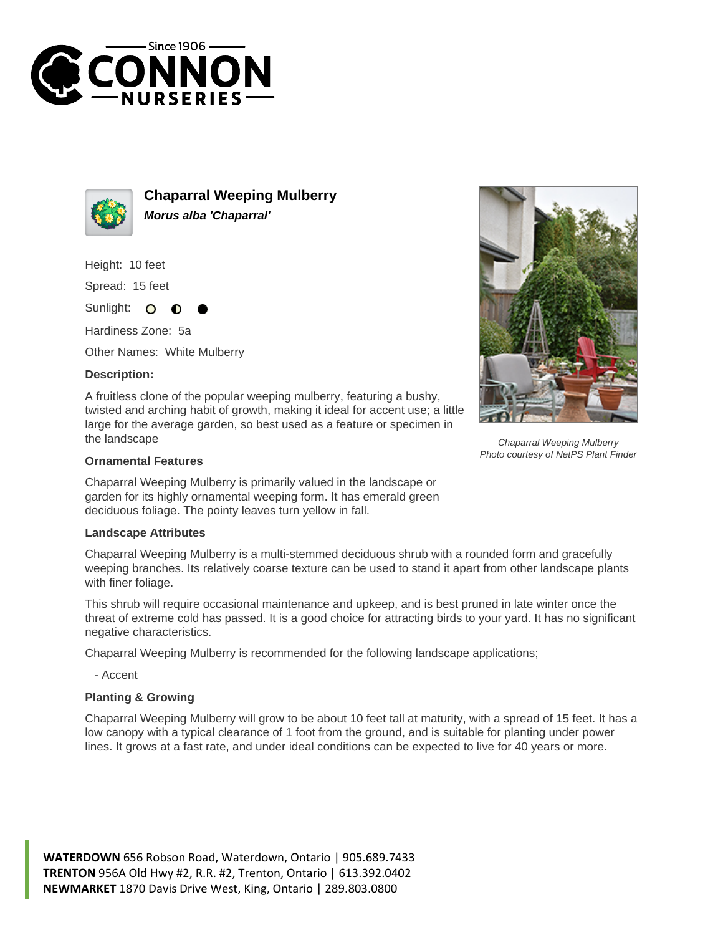



**Chaparral Weeping Mulberry Morus alba 'Chaparral'**

Height: 10 feet

Spread: 15 feet

Sunlight:  $\Omega$ 

Hardiness Zone: 5a

Other Names: White Mulberry

## **Description:**

A fruitless clone of the popular weeping mulberry, featuring a bushy, twisted and arching habit of growth, making it ideal for accent use; a little large for the average garden, so best used as a feature or specimen in the landscape

## **Ornamental Features**

Chaparral Weeping Mulberry is primarily valued in the landscape or garden for its highly ornamental weeping form. It has emerald green deciduous foliage. The pointy leaves turn yellow in fall.

## **Landscape Attributes**

Chaparral Weeping Mulberry is a multi-stemmed deciduous shrub with a rounded form and gracefully weeping branches. Its relatively coarse texture can be used to stand it apart from other landscape plants with finer foliage.

This shrub will require occasional maintenance and upkeep, and is best pruned in late winter once the threat of extreme cold has passed. It is a good choice for attracting birds to your yard. It has no significant negative characteristics.

Chaparral Weeping Mulberry is recommended for the following landscape applications;

- Accent

## **Planting & Growing**

Chaparral Weeping Mulberry will grow to be about 10 feet tall at maturity, with a spread of 15 feet. It has a low canopy with a typical clearance of 1 foot from the ground, and is suitable for planting under power lines. It grows at a fast rate, and under ideal conditions can be expected to live for 40 years or more.





Chaparral Weeping Mulberry Photo courtesy of NetPS Plant Finder